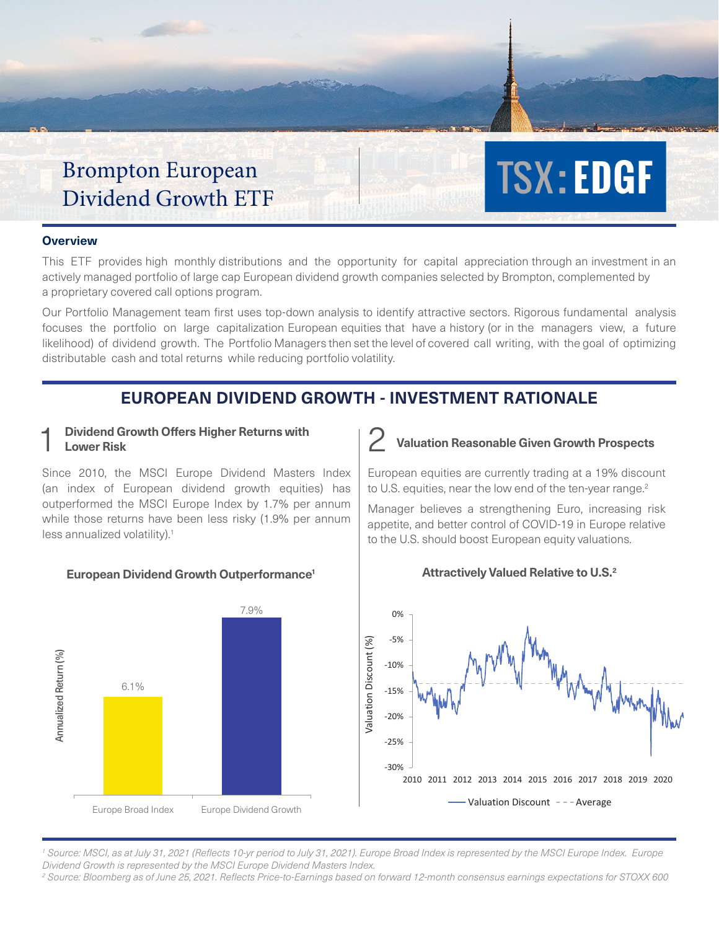# Brompton European Dividend Growth ETF

#### **Overview**

This ETF provides high monthly distributions and the opportunity for capital appreciation through an investment in an actively managed portfolio of large cap European dividend growth companies selected by Brompton, complemented by a proprietary covered call options program.

Our Portfolio Management team first uses top-down analysis to identify attractive sectors. Rigorous fundamental analysis focuses the portfolio on large capitalization European equities that have a history (or in the managers view, a future likelihood) of dividend growth. The Portfolio Managers then set the level of covered call writing, with the goal of optimizing distributable cash and total returns while reducing portfolio volatility.

# **EUROPEAN DIVIDEND GROWTH - INVESTMENT RATIONALE**

# 1 Dividend Growth Offers Higher Returns with <br>
Lower Risk **Lower Risk**

Since 2010, the MSCI Europe Dividend Masters Index (an index of European dividend growth equities) has outperformed the MSCI Europe Index by 1.7% per annum while those returns have been less risky (1.9% per annum less annualized volatility).<sup>1</sup>

#### **European Dividend Growth Outperformance1**



## appetite, and better control of COVID-19 in Europe relative to the U.S. should boost European equity valuations.

**Valuation Reasonable Given Growth Prospects**

**TSX: EDGF** 

European equities are currently trading at a 19% discount to U.S. equities, near the low end of the ten-year range.<sup>2</sup> Manager believes a strengthening Euro, increasing risk



#### **Attractively Valued Relative to U.S.2**

<sup>1</sup> Source: MSCI, as at July 31, 2021 (Reflects 10-yr period to July 31, 2021). Europe Broad Index is represented by the MSCI Europe Index. Europe *Dividend Growth is represented by the MSCI Europe Dividend Masters Index.*

*2 Source: Bloomberg as of June 25, 2021. Reflects Price-to-Earnings based on forward 12-month consensus earnings expectations for STOXX 600*